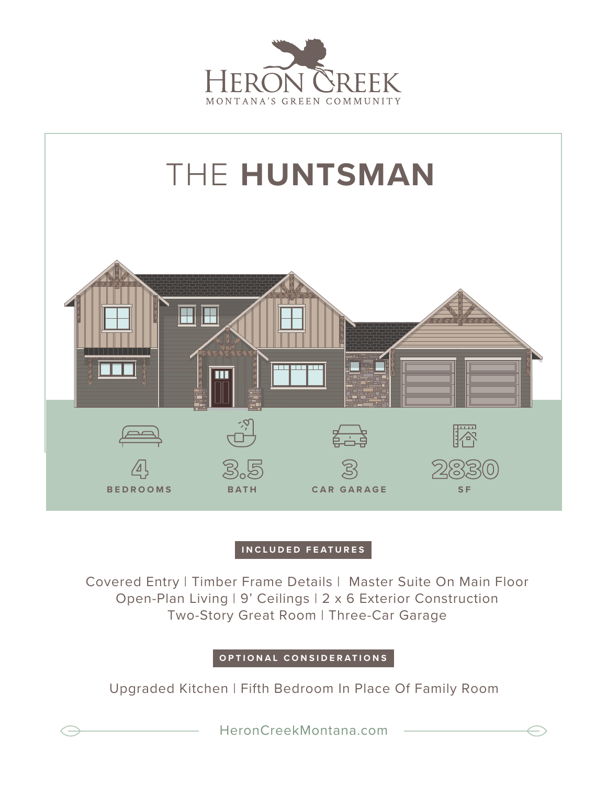



## **INCLUDED FEATURES**

Covered Entry | Timber Frame Details | Master Suite On Main Floor Open-Plan Living | 9' Ceilings | 2 x 6 Exterior Construction Two-Story Great Room | Three-Car Garage

## **OPTIONAL CONSIDERATIONS**

Upgraded Kitchen | Fifth Bedroom In Place Of Family Room

HeronCreekMontana.com